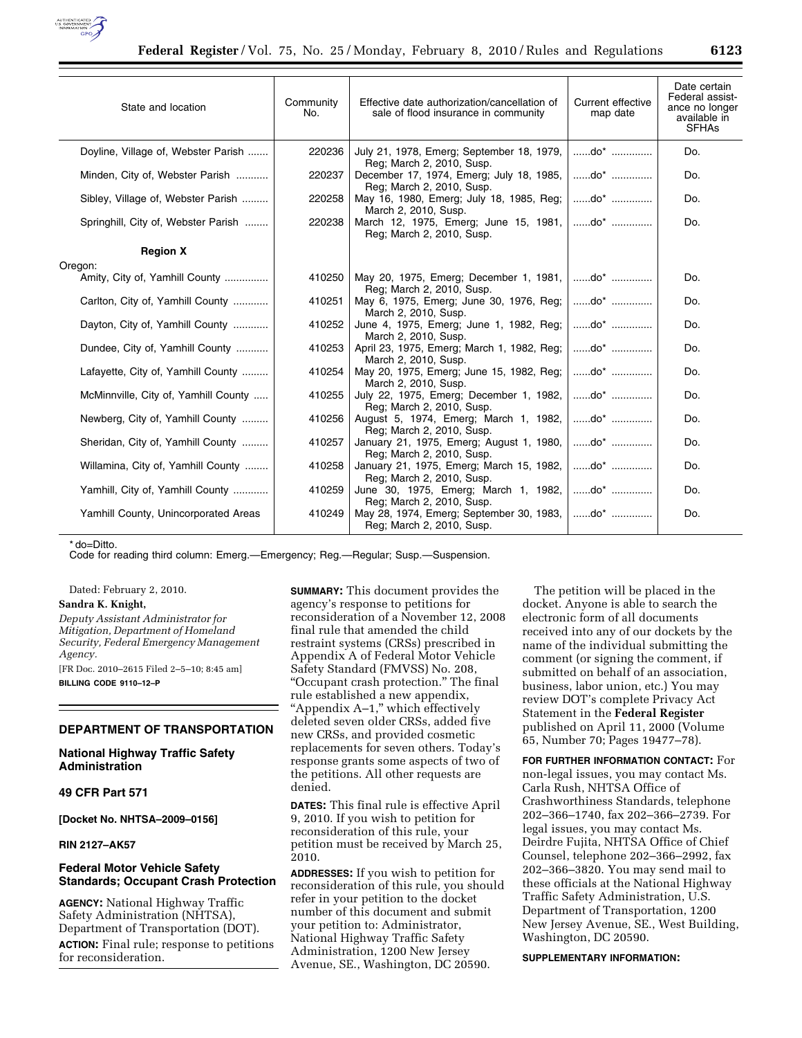

| State and location                   | Community<br>No. | Effective date authorization/cancellation of<br>sale of flood insurance in community | Current effective<br>map date                     | Date certain<br>Federal assist-<br>ance no longer<br>available in<br><b>SFHAs</b> |
|--------------------------------------|------------------|--------------------------------------------------------------------------------------|---------------------------------------------------|-----------------------------------------------------------------------------------|
| Doyline, Village of, Webster Parish  | 220236           | July 21, 1978, Emerg; September 18, 1979,<br>Reg; March 2, 2010, Susp.               | $$ do* $$                                         | Do.                                                                               |
| Minden, City of, Webster Parish      | 220237           | December 17, 1974, Emerg; July 18, 1985,<br>Reg; March 2, 2010, Susp.                | $\dots \dots$ do* $\dots \dots \dots$             | Do.                                                                               |
| Sibley, Village of, Webster Parish   | 220258           | May 16, 1980, Emerg; July 18, 1985, Reg;<br>March 2, 2010, Susp.                     | $\dots \dots$ do* $\dots \dots \dots$             | Do.                                                                               |
| Springhill, City of, Webster Parish  | 220238           | March 12, 1975, Emerg; June 15, 1981,<br>Reg; March 2, 2010, Susp.                   | $\dots \dots$ do <sup>*</sup> $\dots \dots \dots$ | Do.                                                                               |
| <b>Region X</b>                      |                  |                                                                                      |                                                   |                                                                                   |
| Oregon:                              |                  |                                                                                      |                                                   |                                                                                   |
| Amity, City of, Yamhill County       | 410250           | May 20, 1975, Emerg; December 1, 1981,   do*<br>Reg; March 2, 2010, Susp.            |                                                   | Do.                                                                               |
| Carlton, City of, Yamhill County     | 410251           | May 6, 1975, Emerg; June 30, 1976, Reg;   do*<br>March 2, 2010, Susp.                |                                                   | Do.                                                                               |
| Dayton, City of, Yamhill County      | 410252           | June 4, 1975, Emerg; June 1, 1982, Reg;   do*<br>March 2, 2010, Susp.                |                                                   | Do.                                                                               |
| Dundee, City of, Yamhill County      | 410253           | April 23, 1975, Emerg; March 1, 1982, Reg;   do*<br>March 2, 2010, Susp.             |                                                   | Do.                                                                               |
| Lafayette, City of, Yamhill County   | 410254           | May 20, 1975, Emerg; June 15, 1982, Reg;   do*<br>March 2, 2010, Susp.               |                                                   | Do.                                                                               |
| McMinnville, City of, Yamhill County | 410255           | July 22, 1975, Emerg; December 1, 1982,<br>Reg; March 2, 2010, Susp.                 |                                                   | Do.                                                                               |
| Newberg, City of, Yamhill County     | 410256           | August 5, 1974, Emerg; March 1, 1982,<br>Reg; March 2, 2010, Susp.                   | do*                                               | Do.                                                                               |
| Sheridan, City of, Yamhill County    | 410257           | January 21, 1975, Emerg; August 1, 1980,<br>Reg; March 2, 2010, Susp.                | do*                                               | Do.                                                                               |
| Willamina, City of, Yamhill County   | 410258           | January 21, 1975, Emerg; March 15, 1982,<br>Reg: March 2, 2010, Susp.                | $\dots \dots$ do* $\dots \dots \dots$             | Do.                                                                               |
| Yamhill, City of, Yamhill County     | 410259           | June 30, 1975, Emerg; March 1, 1982, do*<br>Reg; March 2, 2010, Susp.                |                                                   | Do.                                                                               |
| Yamhill County, Unincorporated Areas | 410249           | May 28, 1974, Emerg; September 30, 1983,   do*<br>Reg; March 2, 2010, Susp.          |                                                   | Do.                                                                               |

\* do=Ditto.

Code for reading third column: Emerg.—Emergency; Reg.—Regular; Susp.—Suspension.

Dated: February 2, 2010.

#### **Sandra K. Knight,**

*Deputy Assistant Administrator for Mitigation, Department of Homeland Security, Federal Emergency Management Agency.* 

[FR Doc. 2010–2615 Filed 2–5–10; 8:45 am] **BILLING CODE 9110–12–P** 

## **DEPARTMENT OF TRANSPORTATION**

**National Highway Traffic Safety Administration** 

## **49 CFR Part 571**

**[Docket No. NHTSA–2009–0156]** 

## **RIN 2127–AK57**

## **Federal Motor Vehicle Safety Standards; Occupant Crash Protection**

**AGENCY:** National Highway Traffic Safety Administration (NHTSA), Department of Transportation (DOT). **ACTION:** Final rule; response to petitions for reconsideration.

**SUMMARY:** This document provides the agency's response to petitions for reconsideration of a November 12, 2008 final rule that amended the child restraint systems (CRSs) prescribed in Appendix A of Federal Motor Vehicle Safety Standard (FMVSS) No. 208, ''Occupant crash protection.'' The final rule established a new appendix, ''Appendix A–1,'' which effectively deleted seven older CRSs, added five new CRSs, and provided cosmetic replacements for seven others. Today's response grants some aspects of two of the petitions. All other requests are denied.

**DATES:** This final rule is effective April 9, 2010. If you wish to petition for reconsideration of this rule, your petition must be received by March 25, 2010.

**ADDRESSES:** If you wish to petition for reconsideration of this rule, you should refer in your petition to the docket number of this document and submit your petition to: Administrator, National Highway Traffic Safety Administration, 1200 New Jersey Avenue, SE., Washington, DC 20590.

The petition will be placed in the docket. Anyone is able to search the electronic form of all documents received into any of our dockets by the name of the individual submitting the comment (or signing the comment, if submitted on behalf of an association, business, labor union, etc.) You may review DOT's complete Privacy Act Statement in the **Federal Register**  published on April 11, 2000 (Volume 65, Number 70; Pages 19477–78).

**FOR FURTHER INFORMATION CONTACT:** For non-legal issues, you may contact Ms. Carla Rush, NHTSA Office of Crashworthiness Standards, telephone 202–366–1740, fax 202–366–2739. For legal issues, you may contact Ms. Deirdre Fujita, NHTSA Office of Chief Counsel, telephone 202–366–2992, fax 202–366–3820. You may send mail to these officials at the National Highway Traffic Safety Administration, U.S. Department of Transportation, 1200 New Jersey Avenue, SE., West Building, Washington, DC 20590.

**SUPPLEMENTARY INFORMATION:**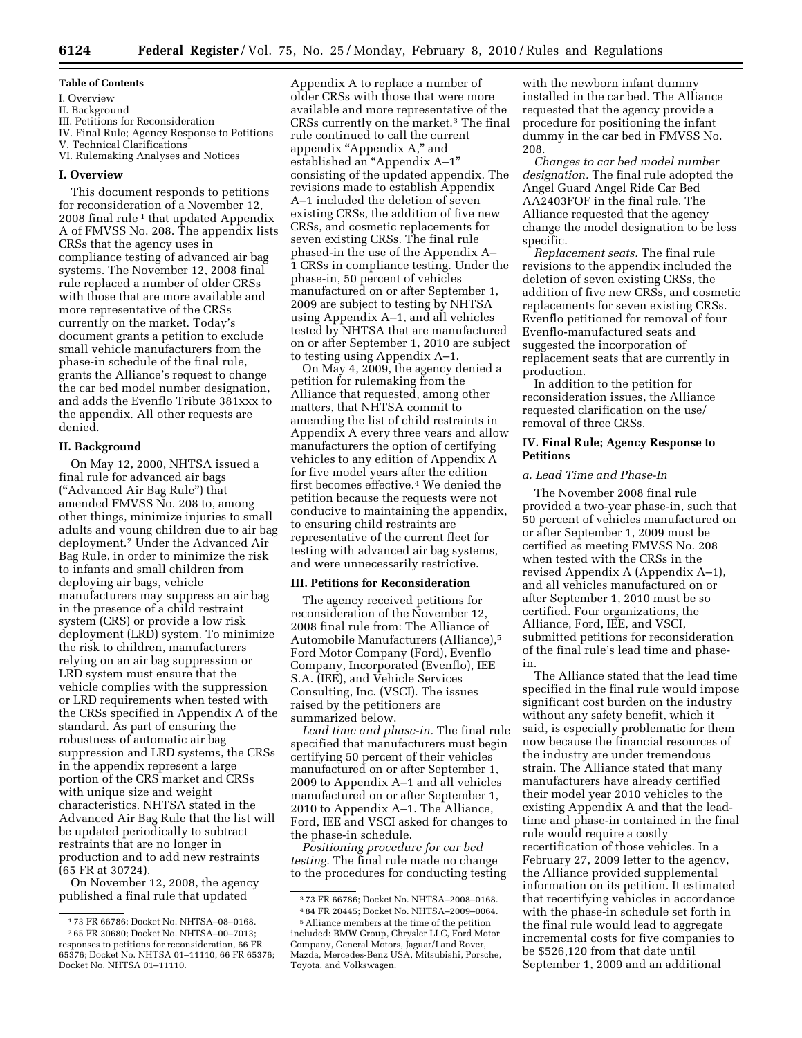## **Table of Contents**

- I. Overview
- II. Background
- III. Petitions for Reconsideration
- IV. Final Rule; Agency Response to Petitions V. Technical Clarifications
- VI. Rulemaking Analyses and Notices

### **I. Overview**

This document responds to petitions for reconsideration of a November 12, 2008 final rule<sup>1</sup> that updated Appendix A of FMVSS No. 208. The appendix lists CRSs that the agency uses in compliance testing of advanced air bag systems. The November 12, 2008 final rule replaced a number of older CRSs with those that are more available and more representative of the CRSs currently on the market. Today's document grants a petition to exclude small vehicle manufacturers from the phase-in schedule of the final rule, grants the Alliance's request to change the car bed model number designation, and adds the Evenflo Tribute 381xxx to the appendix. All other requests are denied.

## **II. Background**

On May 12, 2000, NHTSA issued a final rule for advanced air bags (''Advanced Air Bag Rule'') that amended FMVSS No. 208 to, among other things, minimize injuries to small adults and young children due to air bag deployment.2 Under the Advanced Air Bag Rule, in order to minimize the risk to infants and small children from deploying air bags, vehicle manufacturers may suppress an air bag in the presence of a child restraint system (CRS) or provide a low risk deployment (LRD) system. To minimize the risk to children, manufacturers relying on an air bag suppression or LRD system must ensure that the vehicle complies with the suppression or LRD requirements when tested with the CRSs specified in Appendix A of the standard. As part of ensuring the robustness of automatic air bag suppression and LRD systems, the CRSs in the appendix represent a large portion of the CRS market and CRSs with unique size and weight characteristics. NHTSA stated in the Advanced Air Bag Rule that the list will be updated periodically to subtract restraints that are no longer in production and to add new restraints (65 FR at 30724).

On November 12, 2008, the agency published a final rule that updated

Appendix A to replace a number of older CRSs with those that were more available and more representative of the CRSs currently on the market.3 The final rule continued to call the current appendix "Appendix A," and established an ''Appendix A–1'' consisting of the updated appendix. The revisions made to establish Appendix A–1 included the deletion of seven existing CRSs, the addition of five new CRSs, and cosmetic replacements for seven existing CRSs. The final rule phased-in the use of the Appendix A– 1 CRSs in compliance testing. Under the phase-in, 50 percent of vehicles manufactured on or after September 1, 2009 are subject to testing by NHTSA using Appendix A–1, and all vehicles tested by NHTSA that are manufactured on or after September 1, 2010 are subject to testing using Appendix A–1.

On May 4, 2009, the agency denied a petition for rulemaking from the Alliance that requested, among other matters, that NHTSA commit to amending the list of child restraints in Appendix A every three years and allow manufacturers the option of certifying vehicles to any edition of Appendix A for five model years after the edition first becomes effective.4 We denied the petition because the requests were not conducive to maintaining the appendix, to ensuring child restraints are representative of the current fleet for testing with advanced air bag systems, and were unnecessarily restrictive.

### **III. Petitions for Reconsideration**

The agency received petitions for reconsideration of the November 12, 2008 final rule from: The Alliance of Automobile Manufacturers (Alliance),5 Ford Motor Company (Ford), Evenflo Company, Incorporated (Evenflo), IEE S.A. (IEE), and Vehicle Services Consulting, Inc. (VSCI). The issues raised by the petitioners are summarized below.

*Lead time and phase-in.* The final rule specified that manufacturers must begin certifying 50 percent of their vehicles manufactured on or after September 1, 2009 to Appendix A–1 and all vehicles manufactured on or after September 1, 2010 to Appendix A–1. The Alliance, Ford, IEE and VSCI asked for changes to the phase-in schedule.

*Positioning procedure for car bed testing.* The final rule made no change to the procedures for conducting testing

with the newborn infant dummy installed in the car bed. The Alliance requested that the agency provide a procedure for positioning the infant dummy in the car bed in FMVSS No. 208.

*Changes to car bed model number designation.* The final rule adopted the Angel Guard Angel Ride Car Bed AA2403FOF in the final rule. The Alliance requested that the agency change the model designation to be less specific.

*Replacement seats.* The final rule revisions to the appendix included the deletion of seven existing CRSs, the addition of five new CRSs, and cosmetic replacements for seven existing CRSs. Evenflo petitioned for removal of four Evenflo-manufactured seats and suggested the incorporation of replacement seats that are currently in production.

In addition to the petition for reconsideration issues, the Alliance requested clarification on the use/ removal of three CRSs.

## **IV. Final Rule; Agency Response to Petitions**

## *a. Lead Time and Phase-In*

The November 2008 final rule provided a two-year phase-in, such that 50 percent of vehicles manufactured on or after September 1, 2009 must be certified as meeting FMVSS No. 208 when tested with the CRSs in the revised Appendix A (Appendix A–1), and all vehicles manufactured on or after September 1, 2010 must be so certified. Four organizations, the Alliance, Ford, IEE, and VSCI, submitted petitions for reconsideration of the final rule's lead time and phasein.

The Alliance stated that the lead time specified in the final rule would impose significant cost burden on the industry without any safety benefit, which it said, is especially problematic for them now because the financial resources of the industry are under tremendous strain. The Alliance stated that many manufacturers have already certified their model year 2010 vehicles to the existing Appendix A and that the leadtime and phase-in contained in the final rule would require a costly recertification of those vehicles. In a February 27, 2009 letter to the agency, the Alliance provided supplemental information on its petition. It estimated that recertifying vehicles in accordance with the phase-in schedule set forth in the final rule would lead to aggregate incremental costs for five companies to be \$526,120 from that date until September 1, 2009 and an additional

<sup>1</sup> 73 FR 66786; Docket No. NHTSA–08–0168.

<sup>2</sup> 65 FR 30680; Docket No. NHTSA–00–7013; responses to petitions for reconsideration, 66 FR 65376; Docket No. NHTSA 01–11110, 66 FR 65376; Docket No. NHTSA 01–11110.

<sup>3</sup> 73 FR 66786; Docket No. NHTSA–2008–0168. 4 84 FR 20445; Docket No. NHTSA–2009–0064.

<sup>5</sup>Alliance members at the time of the petition included: BMW Group, Chrysler LLC, Ford Motor Company, General Motors, Jaguar/Land Rover, Mazda, Mercedes-Benz USA, Mitsubishi, Porsche, Toyota, and Volkswagen.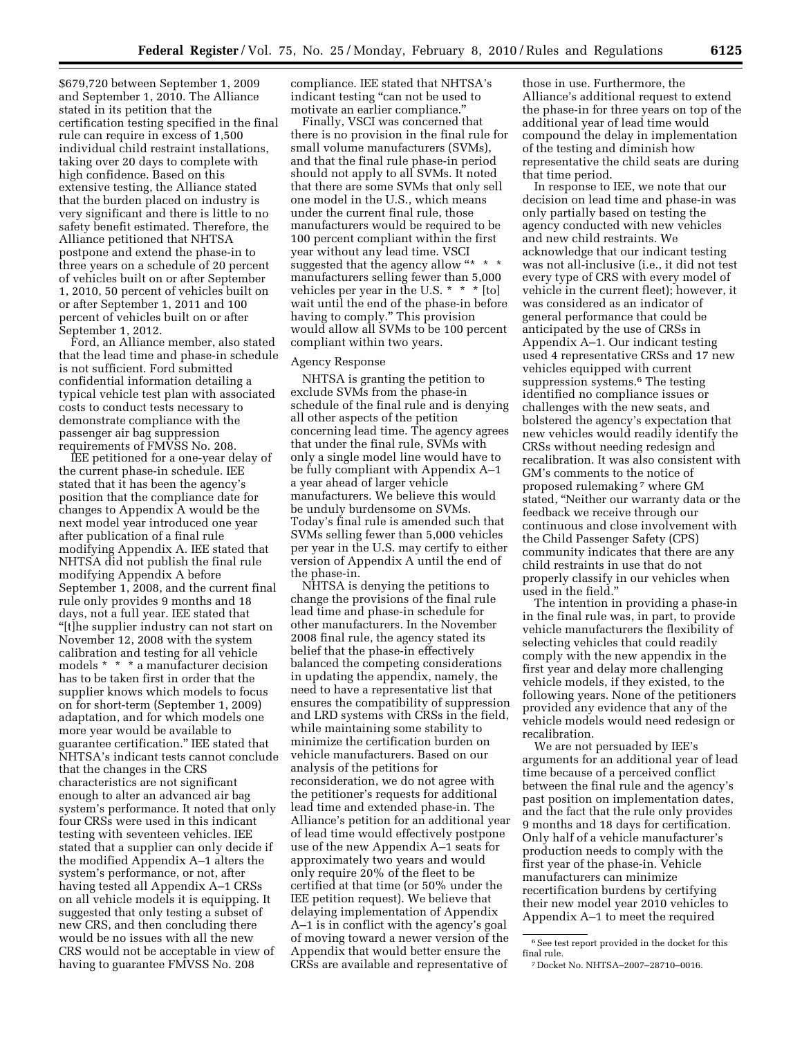\$679,720 between September 1, 2009 and September 1, 2010. The Alliance stated in its petition that the certification testing specified in the final rule can require in excess of 1,500 individual child restraint installations, taking over 20 days to complete with high confidence. Based on this extensive testing, the Alliance stated that the burden placed on industry is very significant and there is little to no safety benefit estimated. Therefore, the Alliance petitioned that NHTSA postpone and extend the phase-in to three years on a schedule of 20 percent of vehicles built on or after September 1, 2010, 50 percent of vehicles built on or after September 1, 2011 and 100 percent of vehicles built on or after September 1, 2012.

Ford, an Alliance member, also stated that the lead time and phase-in schedule is not sufficient. Ford submitted confidential information detailing a typical vehicle test plan with associated costs to conduct tests necessary to demonstrate compliance with the passenger air bag suppression requirements of FMVSS No. 208.

IEE petitioned for a one-year delay of the current phase-in schedule. IEE stated that it has been the agency's position that the compliance date for changes to Appendix A would be the next model year introduced one year after publication of a final rule modifying Appendix A. IEE stated that NHTSA did not publish the final rule modifying Appendix A before September 1, 2008, and the current final rule only provides 9 months and 18 days, not a full year. IEE stated that ''[t]he supplier industry can not start on November 12, 2008 with the system calibration and testing for all vehicle models \* \* \* a manufacturer decision has to be taken first in order that the supplier knows which models to focus on for short-term (September 1, 2009) adaptation, and for which models one more year would be available to guarantee certification.'' IEE stated that NHTSA's indicant tests cannot conclude that the changes in the CRS characteristics are not significant enough to alter an advanced air bag system's performance. It noted that only four CRSs were used in this indicant testing with seventeen vehicles. IEE stated that a supplier can only decide if the modified Appendix A–1 alters the system's performance, or not, after having tested all Appendix A–1 CRSs on all vehicle models it is equipping. It suggested that only testing a subset of new CRS, and then concluding there would be no issues with all the new CRS would not be acceptable in view of having to guarantee FMVSS No. 208

compliance. IEE stated that NHTSA's indicant testing "can not be used to motivate an earlier compliance.''

Finally, VSCI was concerned that there is no provision in the final rule for small volume manufacturers (SVMs), and that the final rule phase-in period should not apply to all SVMs. It noted that there are some SVMs that only sell one model in the U.S., which means under the current final rule, those manufacturers would be required to be 100 percent compliant within the first year without any lead time. VSCI suggested that the agency allow "\*  $*$ manufacturers selling fewer than 5,000 vehicles per year in the U.S. \* \* \* [to] wait until the end of the phase-in before having to comply.'' This provision would allow all SVMs to be 100 percent compliant within two years.

#### Agency Response

NHTSA is granting the petition to exclude SVMs from the phase-in schedule of the final rule and is denying all other aspects of the petition concerning lead time. The agency agrees that under the final rule, SVMs with only a single model line would have to be fully compliant with Appendix A–1 a year ahead of larger vehicle manufacturers. We believe this would be unduly burdensome on SVMs. Today's final rule is amended such that SVMs selling fewer than 5,000 vehicles per year in the U.S. may certify to either version of Appendix A until the end of the phase-in.

NHTSA is denying the petitions to change the provisions of the final rule lead time and phase-in schedule for other manufacturers. In the November 2008 final rule, the agency stated its belief that the phase-in effectively balanced the competing considerations in updating the appendix, namely, the need to have a representative list that ensures the compatibility of suppression and LRD systems with CRSs in the field, while maintaining some stability to minimize the certification burden on vehicle manufacturers. Based on our analysis of the petitions for reconsideration, we do not agree with the petitioner's requests for additional lead time and extended phase-in. The Alliance's petition for an additional year of lead time would effectively postpone use of the new Appendix A–1 seats for approximately two years and would only require 20% of the fleet to be certified at that time (or 50% under the IEE petition request). We believe that delaying implementation of Appendix A–1 is in conflict with the agency's goal of moving toward a newer version of the Appendix that would better ensure the CRSs are available and representative of

those in use. Furthermore, the Alliance's additional request to extend the phase-in for three years on top of the additional year of lead time would compound the delay in implementation of the testing and diminish how representative the child seats are during that time period.

In response to IEE, we note that our decision on lead time and phase-in was only partially based on testing the agency conducted with new vehicles and new child restraints. We acknowledge that our indicant testing was not all-inclusive (i.e., it did not test every type of CRS with every model of vehicle in the current fleet); however, it was considered as an indicator of general performance that could be anticipated by the use of CRSs in Appendix A–1. Our indicant testing used 4 representative CRSs and 17 new vehicles equipped with current suppression systems.6 The testing identified no compliance issues or challenges with the new seats, and bolstered the agency's expectation that new vehicles would readily identify the CRSs without needing redesign and recalibration. It was also consistent with GM's comments to the notice of proposed rulemaking 7 where GM stated, ''Neither our warranty data or the feedback we receive through our continuous and close involvement with the Child Passenger Safety (CPS) community indicates that there are any child restraints in use that do not properly classify in our vehicles when used in the field.''

The intention in providing a phase-in in the final rule was, in part, to provide vehicle manufacturers the flexibility of selecting vehicles that could readily comply with the new appendix in the first year and delay more challenging vehicle models, if they existed, to the following years. None of the petitioners provided any evidence that any of the vehicle models would need redesign or recalibration.

We are not persuaded by IEE's arguments for an additional year of lead time because of a perceived conflict between the final rule and the agency's past position on implementation dates, and the fact that the rule only provides 9 months and 18 days for certification. Only half of a vehicle manufacturer's production needs to comply with the first year of the phase-in. Vehicle manufacturers can minimize recertification burdens by certifying their new model year 2010 vehicles to Appendix A–1 to meet the required

 $^{\rm 6}$  See test report provided in the docket for this final rule.

<sup>7</sup> Docket No. NHTSA–2007–28710–0016.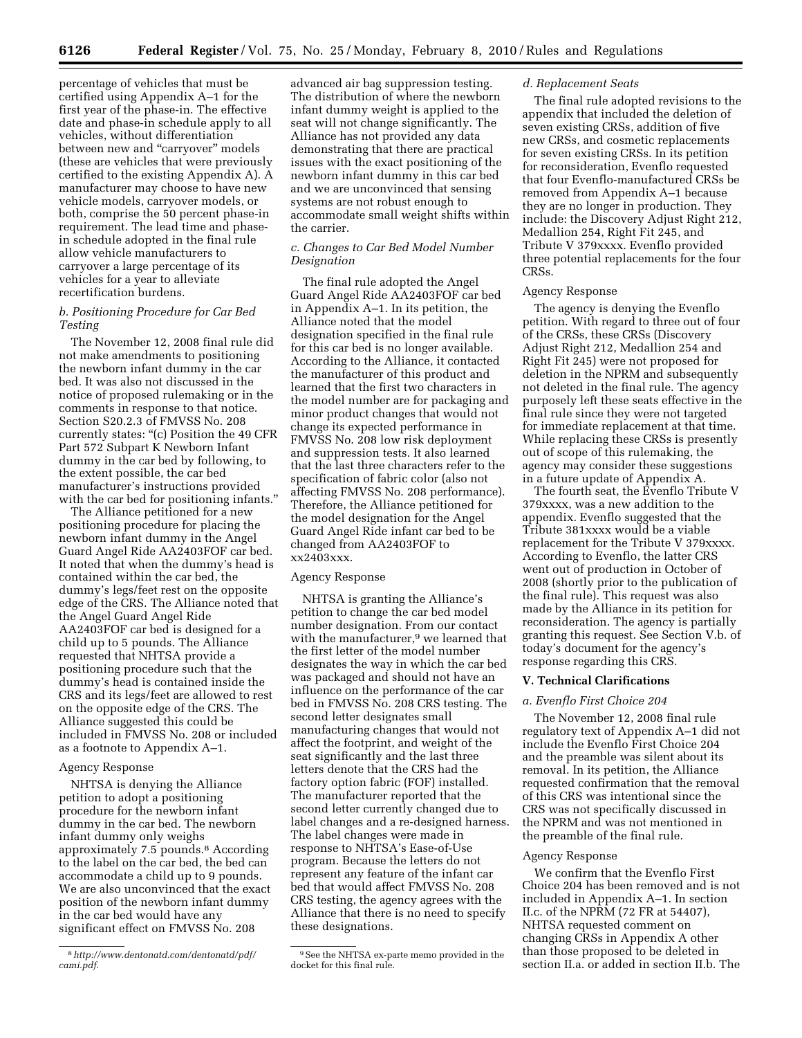percentage of vehicles that must be certified using Appendix A–1 for the first year of the phase-in. The effective date and phase-in schedule apply to all vehicles, without differentiation between new and ''carryover'' models (these are vehicles that were previously certified to the existing Appendix A). A manufacturer may choose to have new vehicle models, carryover models, or both, comprise the 50 percent phase-in requirement. The lead time and phasein schedule adopted in the final rule allow vehicle manufacturers to carryover a large percentage of its vehicles for a year to alleviate recertification burdens.

## *b. Positioning Procedure for Car Bed Testing*

The November 12, 2008 final rule did not make amendments to positioning the newborn infant dummy in the car bed. It was also not discussed in the notice of proposed rulemaking or in the comments in response to that notice. Section S20.2.3 of FMVSS No. 208 currently states: "(c) Position the 49 CFR Part 572 Subpart K Newborn Infant dummy in the car bed by following, to the extent possible, the car bed manufacturer's instructions provided with the car bed for positioning infants.''

The Alliance petitioned for a new positioning procedure for placing the newborn infant dummy in the Angel Guard Angel Ride AA2403FOF car bed. It noted that when the dummy's head is contained within the car bed, the dummy's legs/feet rest on the opposite edge of the CRS. The Alliance noted that the Angel Guard Angel Ride AA2403FOF car bed is designed for a child up to 5 pounds. The Alliance requested that NHTSA provide a positioning procedure such that the dummy's head is contained inside the CRS and its legs/feet are allowed to rest on the opposite edge of the CRS. The Alliance suggested this could be included in FMVSS No. 208 or included as a footnote to Appendix A–1.

#### Agency Response

NHTSA is denying the Alliance petition to adopt a positioning procedure for the newborn infant dummy in the car bed. The newborn infant dummy only weighs approximately 7.5 pounds.8 According to the label on the car bed, the bed can accommodate a child up to 9 pounds. We are also unconvinced that the exact position of the newborn infant dummy in the car bed would have any significant effect on FMVSS No. 208

advanced air bag suppression testing. The distribution of where the newborn infant dummy weight is applied to the seat will not change significantly. The Alliance has not provided any data demonstrating that there are practical issues with the exact positioning of the newborn infant dummy in this car bed and we are unconvinced that sensing systems are not robust enough to accommodate small weight shifts within the carrier.

## *c. Changes to Car Bed Model Number Designation*

The final rule adopted the Angel Guard Angel Ride AA2403FOF car bed in Appendix A–1. In its petition, the Alliance noted that the model designation specified in the final rule for this car bed is no longer available. According to the Alliance, it contacted the manufacturer of this product and learned that the first two characters in the model number are for packaging and minor product changes that would not change its expected performance in FMVSS No. 208 low risk deployment and suppression tests. It also learned that the last three characters refer to the specification of fabric color (also not affecting FMVSS No. 208 performance). Therefore, the Alliance petitioned for the model designation for the Angel Guard Angel Ride infant car bed to be changed from AA2403FOF to xx2403xxx.

## Agency Response

NHTSA is granting the Alliance's petition to change the car bed model number designation. From our contact with the manufacturer,<sup>9</sup> we learned that the first letter of the model number designates the way in which the car bed was packaged and should not have an influence on the performance of the car bed in FMVSS No. 208 CRS testing. The second letter designates small manufacturing changes that would not affect the footprint, and weight of the seat significantly and the last three letters denote that the CRS had the factory option fabric (FOF) installed. The manufacturer reported that the second letter currently changed due to label changes and a re-designed harness. The label changes were made in response to NHTSA's Ease-of-Use program. Because the letters do not represent any feature of the infant car bed that would affect FMVSS No. 208 CRS testing, the agency agrees with the Alliance that there is no need to specify these designations.

## *d. Replacement Seats*

The final rule adopted revisions to the appendix that included the deletion of seven existing CRSs, addition of five new CRSs, and cosmetic replacements for seven existing CRSs. In its petition for reconsideration, Evenflo requested that four Evenflo-manufactured CRSs be removed from Appendix A–1 because they are no longer in production. They include: the Discovery Adjust Right 212, Medallion 254, Right Fit 245, and Tribute V 379xxxx. Evenflo provided three potential replacements for the four CRSs.

# Agency Response

The agency is denying the Evenflo petition. With regard to three out of four of the CRSs, these CRSs (Discovery Adjust Right 212, Medallion 254 and Right Fit 245) were not proposed for deletion in the NPRM and subsequently not deleted in the final rule. The agency purposely left these seats effective in the final rule since they were not targeted for immediate replacement at that time. While replacing these CRSs is presently out of scope of this rulemaking, the agency may consider these suggestions in a future update of Appendix A.

The fourth seat, the Evenflo Tribute V 379xxxx, was a new addition to the appendix. Evenflo suggested that the Tribute 381xxxx would be a viable replacement for the Tribute V 379xxxx. According to Evenflo, the latter CRS went out of production in October of 2008 (shortly prior to the publication of the final rule). This request was also made by the Alliance in its petition for reconsideration. The agency is partially granting this request. See Section V.b. of today's document for the agency's response regarding this CRS.

#### **V. Technical Clarifications**

### *a. Evenflo First Choice 204*

The November 12, 2008 final rule regulatory text of Appendix A–1 did not include the Evenflo First Choice 204 and the preamble was silent about its removal. In its petition, the Alliance requested confirmation that the removal of this CRS was intentional since the CRS was not specifically discussed in the NPRM and was not mentioned in the preamble of the final rule.

### Agency Response

We confirm that the Evenflo First Choice 204 has been removed and is not included in Appendix A–1. In section II.c. of the NPRM (72 FR at 54407), NHTSA requested comment on changing CRSs in Appendix A other than those proposed to be deleted in section II.a. or added in section II.b. The

<sup>8</sup>*http://www.dentonatd.com/dentonatd/pdf/ cami.pdf.* 

<sup>9</sup>See the NHTSA ex-parte memo provided in the docket for this final rule.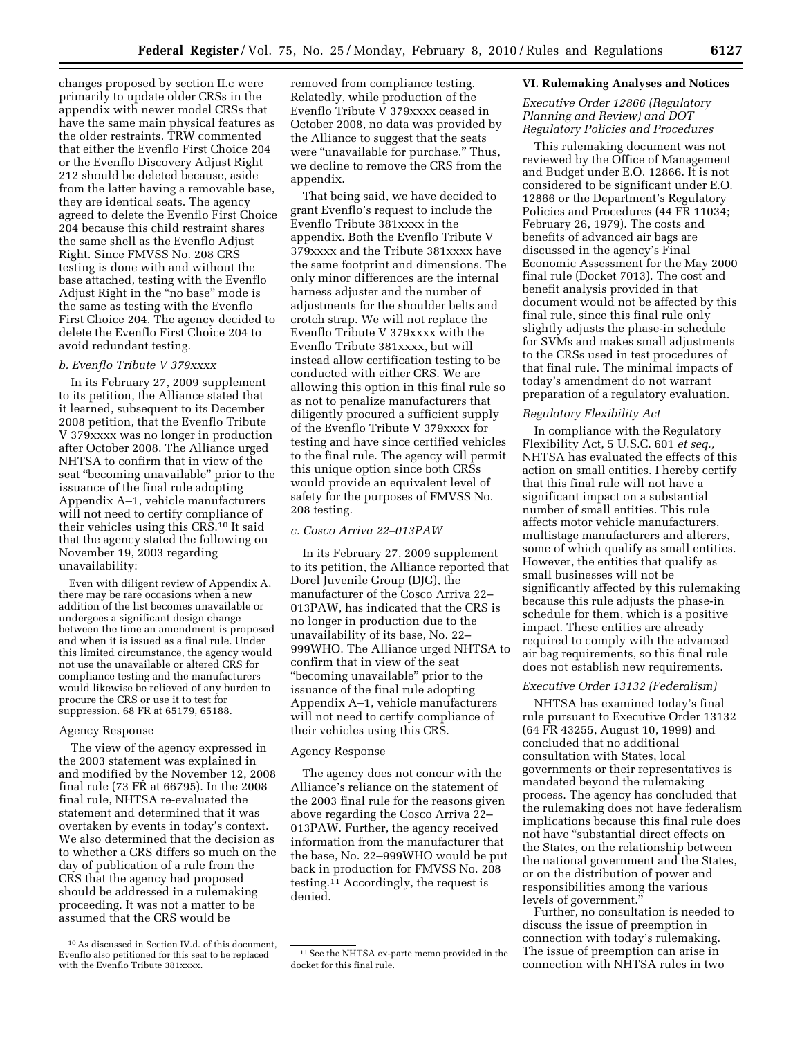changes proposed by section II.c were primarily to update older CRSs in the appendix with newer model CRSs that have the same main physical features as the older restraints. TRW commented that either the Evenflo First Choice 204 or the Evenflo Discovery Adjust Right 212 should be deleted because, aside from the latter having a removable base, they are identical seats. The agency agreed to delete the Evenflo First Choice 204 because this child restraint shares the same shell as the Evenflo Adjust Right. Since FMVSS No. 208 CRS testing is done with and without the base attached, testing with the Evenflo Adjust Right in the ''no base'' mode is the same as testing with the Evenflo First Choice 204. The agency decided to delete the Evenflo First Choice 204 to avoid redundant testing.

## *b. Evenflo Tribute V 379xxxx*

In its February 27, 2009 supplement to its petition, the Alliance stated that it learned, subsequent to its December 2008 petition, that the Evenflo Tribute V 379xxxx was no longer in production after October 2008. The Alliance urged NHTSA to confirm that in view of the seat ''becoming unavailable'' prior to the issuance of the final rule adopting Appendix A–1, vehicle manufacturers will not need to certify compliance of their vehicles using this CRS.10 It said that the agency stated the following on November 19, 2003 regarding unavailability:

Even with diligent review of Appendix A, there may be rare occasions when a new addition of the list becomes unavailable or undergoes a significant design change between the time an amendment is proposed and when it is issued as a final rule. Under this limited circumstance, the agency would not use the unavailable or altered CRS for compliance testing and the manufacturers would likewise be relieved of any burden to procure the CRS or use it to test for suppression. 68 FR at 65179, 65188.

#### Agency Response

The view of the agency expressed in the 2003 statement was explained in and modified by the November 12, 2008 final rule (73 FR at 66795). In the 2008 final rule, NHTSA re-evaluated the statement and determined that it was overtaken by events in today's context. We also determined that the decision as to whether a CRS differs so much on the day of publication of a rule from the CRS that the agency had proposed should be addressed in a rulemaking proceeding. It was not a matter to be assumed that the CRS would be

removed from compliance testing. Relatedly, while production of the Evenflo Tribute V 379xxxx ceased in October 2008, no data was provided by the Alliance to suggest that the seats were "unavailable for purchase." Thus, we decline to remove the CRS from the appendix.

That being said, we have decided to grant Evenflo's request to include the Evenflo Tribute 381xxxx in the appendix. Both the Evenflo Tribute V 379xxxx and the Tribute 381xxxx have the same footprint and dimensions. The only minor differences are the internal harness adjuster and the number of adjustments for the shoulder belts and crotch strap. We will not replace the Evenflo Tribute V 379xxxx with the Evenflo Tribute 381xxxx, but will instead allow certification testing to be conducted with either CRS. We are allowing this option in this final rule so as not to penalize manufacturers that diligently procured a sufficient supply of the Evenflo Tribute V 379xxxx for testing and have since certified vehicles to the final rule. The agency will permit this unique option since both CRSs would provide an equivalent level of safety for the purposes of FMVSS No. 208 testing.

### *c. Cosco Arriva 22–013PAW*

In its February 27, 2009 supplement to its petition, the Alliance reported that Dorel Juvenile Group (DJG), the manufacturer of the Cosco Arriva 22– 013PAW, has indicated that the CRS is no longer in production due to the unavailability of its base, No. 22– 999WHO. The Alliance urged NHTSA to confirm that in view of the seat ''becoming unavailable'' prior to the issuance of the final rule adopting Appendix A–1, vehicle manufacturers will not need to certify compliance of their vehicles using this CRS.

### Agency Response

The agency does not concur with the Alliance's reliance on the statement of the 2003 final rule for the reasons given above regarding the Cosco Arriva 22– 013PAW. Further, the agency received information from the manufacturer that the base, No. 22–999WHO would be put back in production for FMVSS No. 208 testing.11 Accordingly, the request is denied.

# **VI. Rulemaking Analyses and Notices**

## *Executive Order 12866 (Regulatory Planning and Review) and DOT Regulatory Policies and Procedures*

This rulemaking document was not reviewed by the Office of Management and Budget under E.O. 12866. It is not considered to be significant under E.O. 12866 or the Department's Regulatory Policies and Procedures (44 FR 11034; February 26, 1979). The costs and benefits of advanced air bags are discussed in the agency's Final Economic Assessment for the May 2000 final rule (Docket 7013). The cost and benefit analysis provided in that document would not be affected by this final rule, since this final rule only slightly adjusts the phase-in schedule for SVMs and makes small adjustments to the CRSs used in test procedures of that final rule. The minimal impacts of today's amendment do not warrant preparation of a regulatory evaluation.

#### *Regulatory Flexibility Act*

In compliance with the Regulatory Flexibility Act, 5 U.S.C. 601 *et seq.,*  NHTSA has evaluated the effects of this action on small entities. I hereby certify that this final rule will not have a significant impact on a substantial number of small entities. This rule affects motor vehicle manufacturers, multistage manufacturers and alterers, some of which qualify as small entities. However, the entities that qualify as small businesses will not be significantly affected by this rulemaking because this rule adjusts the phase-in schedule for them, which is a positive impact. These entities are already required to comply with the advanced air bag requirements, so this final rule does not establish new requirements.

#### *Executive Order 13132 (Federalism)*

NHTSA has examined today's final rule pursuant to Executive Order 13132 (64 FR 43255, August 10, 1999) and concluded that no additional consultation with States, local governments or their representatives is mandated beyond the rulemaking process. The agency has concluded that the rulemaking does not have federalism implications because this final rule does not have ''substantial direct effects on the States, on the relationship between the national government and the States, or on the distribution of power and responsibilities among the various levels of government.''

Further, no consultation is needed to discuss the issue of preemption in connection with today's rulemaking. The issue of preemption can arise in connection with NHTSA rules in two

<sup>10</sup>As discussed in Section IV.d. of this document, Evenflo also petitioned for this seat to be replaced with the Evenflo Tribute 381xxxx.

<sup>11</sup>See the NHTSA ex-parte memo provided in the docket for this final rule.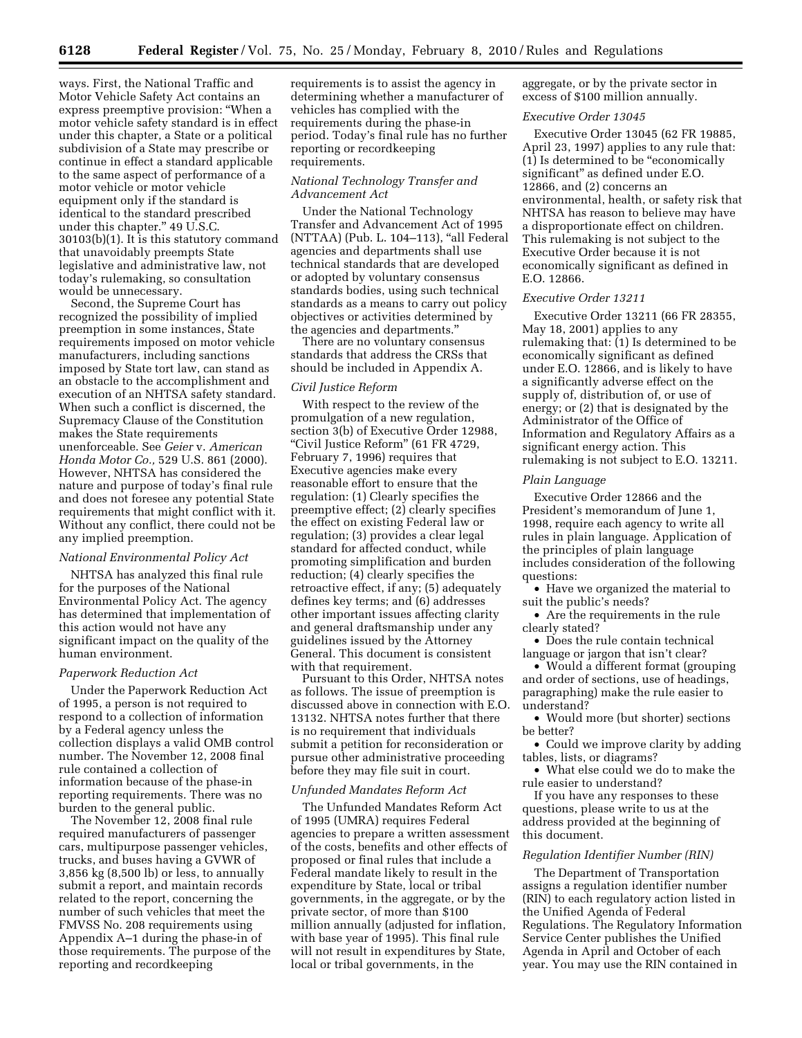ways. First, the National Traffic and Motor Vehicle Safety Act contains an express preemptive provision: ''When a motor vehicle safety standard is in effect under this chapter, a State or a political subdivision of a State may prescribe or continue in effect a standard applicable to the same aspect of performance of a motor vehicle or motor vehicle equipment only if the standard is identical to the standard prescribed under this chapter.'' 49 U.S.C. 30103(b)(1). It is this statutory command that unavoidably preempts State legislative and administrative law, not today's rulemaking, so consultation would be unnecessary.

Second, the Supreme Court has recognized the possibility of implied preemption in some instances, State requirements imposed on motor vehicle manufacturers, including sanctions imposed by State tort law, can stand as an obstacle to the accomplishment and execution of an NHTSA safety standard. When such a conflict is discerned, the Supremacy Clause of the Constitution makes the State requirements unenforceable. See *Geier* v. *American Honda Motor Co.,* 529 U.S. 861 (2000). However, NHTSA has considered the nature and purpose of today's final rule and does not foresee any potential State requirements that might conflict with it. Without any conflict, there could not be any implied preemption.

### *National Environmental Policy Act*

NHTSA has analyzed this final rule for the purposes of the National Environmental Policy Act. The agency has determined that implementation of this action would not have any significant impact on the quality of the human environment.

#### *Paperwork Reduction Act*

Under the Paperwork Reduction Act of 1995, a person is not required to respond to a collection of information by a Federal agency unless the collection displays a valid OMB control number. The November 12, 2008 final rule contained a collection of information because of the phase-in reporting requirements. There was no burden to the general public.

The November 12, 2008 final rule required manufacturers of passenger cars, multipurpose passenger vehicles, trucks, and buses having a GVWR of 3,856 kg (8,500 lb) or less, to annually submit a report, and maintain records related to the report, concerning the number of such vehicles that meet the FMVSS No. 208 requirements using Appendix A–1 during the phase-in of those requirements. The purpose of the reporting and recordkeeping

requirements is to assist the agency in determining whether a manufacturer of vehicles has complied with the requirements during the phase-in period. Today's final rule has no further reporting or recordkeeping requirements.

### *National Technology Transfer and Advancement Act*

Under the National Technology Transfer and Advancement Act of 1995 (NTTAA) (Pub. L. 104–113), "all Federal agencies and departments shall use technical standards that are developed or adopted by voluntary consensus standards bodies, using such technical standards as a means to carry out policy objectives or activities determined by the agencies and departments.''

There are no voluntary consensus standards that address the CRSs that should be included in Appendix A.

## *Civil Justice Reform*

With respect to the review of the promulgation of a new regulation, section 3(b) of Executive Order 12988, ''Civil Justice Reform'' (61 FR 4729, February 7, 1996) requires that Executive agencies make every reasonable effort to ensure that the regulation: (1) Clearly specifies the preemptive effect; (2) clearly specifies the effect on existing Federal law or regulation; (3) provides a clear legal standard for affected conduct, while promoting simplification and burden reduction; (4) clearly specifies the retroactive effect, if any; (5) adequately defines key terms; and (6) addresses other important issues affecting clarity and general draftsmanship under any guidelines issued by the Attorney General. This document is consistent with that requirement.

Pursuant to this Order, NHTSA notes as follows. The issue of preemption is discussed above in connection with E.O. 13132. NHTSA notes further that there is no requirement that individuals submit a petition for reconsideration or pursue other administrative proceeding before they may file suit in court.

#### *Unfunded Mandates Reform Act*

The Unfunded Mandates Reform Act of 1995 (UMRA) requires Federal agencies to prepare a written assessment of the costs, benefits and other effects of proposed or final rules that include a Federal mandate likely to result in the expenditure by State, local or tribal governments, in the aggregate, or by the private sector, of more than \$100 million annually (adjusted for inflation, with base year of 1995). This final rule will not result in expenditures by State, local or tribal governments, in the

aggregate, or by the private sector in excess of \$100 million annually.

#### *Executive Order 13045*

Executive Order 13045 (62 FR 19885, April 23, 1997) applies to any rule that: (1) Is determined to be ''economically significant'' as defined under E.O. 12866, and (2) concerns an environmental, health, or safety risk that NHTSA has reason to believe may have a disproportionate effect on children. This rulemaking is not subject to the Executive Order because it is not economically significant as defined in E.O. 12866.

#### *Executive Order 13211*

Executive Order 13211 (66 FR 28355, May 18, 2001) applies to any rulemaking that: (1) Is determined to be economically significant as defined under E.O. 12866, and is likely to have a significantly adverse effect on the supply of, distribution of, or use of energy; or (2) that is designated by the Administrator of the Office of Information and Regulatory Affairs as a significant energy action. This rulemaking is not subject to E.O. 13211.

#### *Plain Language*

Executive Order 12866 and the President's memorandum of June 1, 1998, require each agency to write all rules in plain language. Application of the principles of plain language includes consideration of the following questions:

• Have we organized the material to suit the public's needs?

• Are the requirements in the rule clearly stated?

• Does the rule contain technical language or jargon that isn't clear?

• Would a different format (grouping and order of sections, use of headings, paragraphing) make the rule easier to understand?

• Would more (but shorter) sections be better?

• Could we improve clarity by adding tables, lists, or diagrams?

• What else could we do to make the rule easier to understand?

If you have any responses to these questions, please write to us at the address provided at the beginning of this document.

# *Regulation Identifier Number (RIN)*

The Department of Transportation assigns a regulation identifier number (RIN) to each regulatory action listed in the Unified Agenda of Federal Regulations. The Regulatory Information Service Center publishes the Unified Agenda in April and October of each year. You may use the RIN contained in